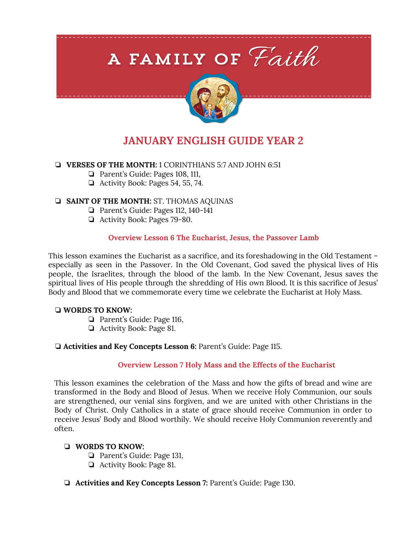# A FAMILY OF Faith



# **JANUARY ENGLISH GUIDE YEAR 2**

# ❏ **VERSES OF THE MONTH:** 1 CORINTHIANS 5:7 AND JOHN 6:51

- ❏ Parent's Guide: Pages 108, 111,
- ❏ Activity Book: Pages 54, 55, 74.

# ❏ **SAINT OF THE MONTH:** ST. THOMAS AQUINAS

- ❏ Parent's Guide: Pages 112, 140-141
- ❏ Activity Book: Pages 79-80.

# **Overview Lesson 6 The Eucharist, Jesus, the Passover Lamb**

This lesson examines the Eucharist as a sacrifice, and its foreshadowing in the Old Testament – especially as seen in the Passover. In the Old Covenant, God saved the physical lives of His people, the Israelites, through the blood of the lamb. In the New Covenant, Jesus saves the spiritual lives of His people through the shredding of His own Blood. It is this sacrifice of Jesus' Body and Blood that we commemorate every time we celebrate the Eucharist at Holy Mass.

#### ❏ **WORDS TO KNOW:**

- ❏ Parent's Guide: Page 116,
- ❏ Activity Book: Page 81.

# ❏ **Activities and Key Concepts Lesson 6:** Parent's Guide: Page 115.

#### **Overview Lesson 7 Holy Mass and the Effects of the Eucharist**

This lesson examines the celebration of the Mass and how the gifts of bread and wine are transformed in the Body and Blood of Jesus. When we receive Holy Communion, our souls are strengthened, our venial sins forgiven, and we are united with other Christians in the Body of Christ. Only Catholics in a state of grace should receive Communion in order to receive Jesus' Body and Blood worthily. We should receive Holy Communion reverently and often.

#### ❏ **WORDS TO KNOW:**

- ❏ Parent's Guide: Page 131,
- ❏ Activity Book: Page 81.
- ❏ **Activities and Key Concepts Lesson 7:** Parent's Guide: Page 130.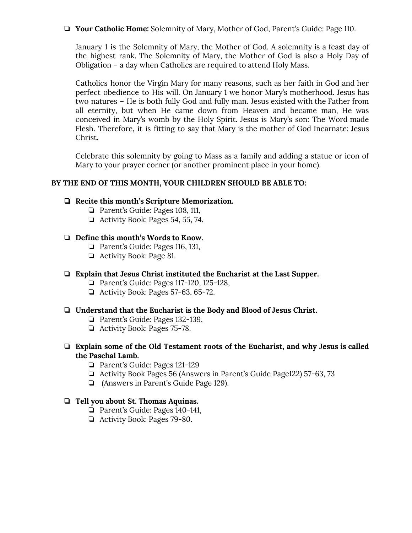❏ **Your Catholic Home:** Solemnity of Mary, Mother of God, Parent's Guide: Page 110.

January 1 is the Solemnity of Mary, the Mother of God. A solemnity is a feast day of the highest rank. The Solemnity of Mary, the Mother of God is also a Holy Day of Obligation – a day when Catholics are required to attend Holy Mass.

Catholics honor the Virgin Mary for many reasons, such as her faith in God and her perfect obedience to His will. On January 1 we honor Mary's motherhood. Jesus has two natures – He is both fully God and fully man. Jesus existed with the Father from all eternity, but when He came down from Heaven and became man, He was conceived in Mary's womb by the Holy Spirit. Jesus is Mary's son: The Word made Flesh. Therefore, it is fitting to say that Mary is the mother of God Incarnate: Jesus Christ.

Celebrate this solemnity by going to Mass as a family and adding a statue or icon of Mary to your prayer corner (or another prominent place in your home).

# **BY THE END OF THIS MONTH, YOUR CHILDREN SHOULD BE ABLE TO:**

#### ❏ **Recite this month's Scripture Memorization.**

- ❏ Parent's Guide: Pages 108, 111,
- ❏ Activity Book: Pages 54, 55, 74.

#### ❏ **Define this month's Words to Know.**

- ❏ Parent's Guide: Pages 116, 131,
- ❏ Activity Book: Page 81.

#### ❏ **Explain that Jesus Christ instituted the Eucharist at the Last Supper.**

- ❏ Parent's Guide: Pages 117-120, 125-128,
- ❏ Activity Book: Pages 57-63, 65-72.

#### ❏ **Understand that the Eucharist is the Body and Blood of Jesus Christ.**

- ❏ Parent's Guide: Pages 132-139,
- ❏ Activity Book: Pages 75-78.
- ❏ **Explain some of the Old Testament roots of the Eucharist, and why Jesus is called the Paschal Lamb.**
	- ❏ Parent's Guide: Pages 121-129
	- ❏ Activity Book Pages 56 (Answers in Parent's Guide Page122) 57-63, 73
	- ❏ (Answers in Parent's Guide Page 129).

#### ❏ **Tell you about St. Thomas Aquinas.**

- ❏ Parent's Guide: Pages 140-141,
- ❏ Activity Book: Pages 79-80.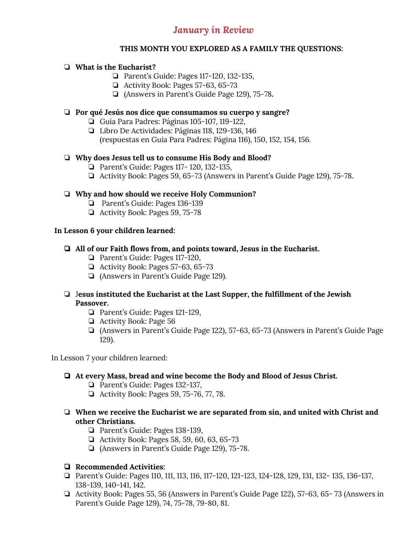# *January in Review*

# **THIS MONTH YOU EXPLORED AS A FAMILY THE QUESTIONS:**

# ❏ **What is the Eucharist?**

- ❏ Parent's Guide: Pages 117-120, 132-135,
- ❏ Activity Book: Pages 57-63, 65-73
- ❏ (Answers in Parent's Guide Page 129), 75-78**.**

#### ❏ **Por qué Jesús nos dice que consumamos su cuerpo y sangre?**

- ❏ Guía Para Padres: Páginas 105-107, 119-122,
- ❏ Libro De Actividades: Páginas 118, 129-136, 146 (respuestas en Guía Para Padres: Página 116), 150, 152, 154, 156.

# ❏ **Why does Jesus tell us to consume His Body and Blood?**

- ❏ Parent's Guide: Pages 117- 120, 132-135,
- ❏ Activity Book: Pages 59, 65-73 (Answers in Parent's Guide Page 129), 75-78.

# ❏ **Why and how should we receive Holy Communion?**

- ❏ Parent's Guide: Pages 136-139
- ❏ Activity Book: Pages 59, 75-78

#### **In Lesson 6 your children learned:**

# ❏ **All of our Faith flows from, and points toward, Jesus in the Eucharist.**

- ❏ Parent's Guide: Pages 117-120,
- ❏ Activity Book: Pages 57-63, 65-73
- ❏ (Answers in Parent's Guide Page 129).

# ❏ J**esus instituted the Eucharist at the Last Supper, the fulfillment of the Jewish Passover.**

- ❏ Parent's Guide: Pages 121-129,
- ❏ Activity Book: Page 56
- ❏ (Answers in Parent's Guide Page 122), 57-63, 65-73 (Answers in Parent's Guide Page 129).

In Lesson 7 your children learned:

# ❏ **At every Mass, bread and wine become the Body and Blood of Jesus Christ.**

- ❏ Parent's Guide: Pages 132-137,
- ❏ Activity Book: Pages 59, 75-76, 77, 78.
- ❏ **When we receive the Eucharist we are separated from sin, and united with Christ and other Christians.**
	- ❏ Parent's Guide: Pages 138-139,
	- ❏ Activity Book: Pages 58, 59, 60, 63, 65-73
	- ❏ (Answers in Parent's Guide Page 129), 75-78.

# ❏ **Recommended Activities:**

- ❏ Parent's Guide: Pages 110, 111, 113, 116, 117-120, 121-123, 124-128, 129, 131, 132- 135, 136-137, 138-139, 140-141, 142.
- ❏ Activity Book: Pages 55, 56 (Answers in Parent's Guide Page 122), 57-63, 65- 73 (Answers in Parent's Guide Page 129), 74, 75-78, 79-80, 81.